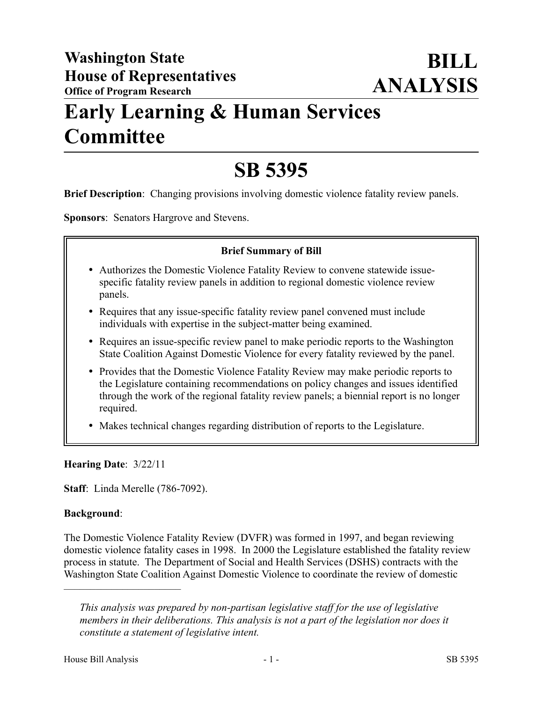# **Early Learning & Human Services Committee**

# **SB 5395**

**Brief Description**: Changing provisions involving domestic violence fatality review panels.

**Sponsors**: Senators Hargrove and Stevens.

### **Brief Summary of Bill**

- Authorizes the Domestic Violence Fatality Review to convene statewide issuespecific fatality review panels in addition to regional domestic violence review panels.
- Requires that any issue-specific fatality review panel convened must include individuals with expertise in the subject-matter being examined.
- Requires an issue-specific review panel to make periodic reports to the Washington State Coalition Against Domestic Violence for every fatality reviewed by the panel.
- Provides that the Domestic Violence Fatality Review may make periodic reports to the Legislature containing recommendations on policy changes and issues identified through the work of the regional fatality review panels; a biennial report is no longer required.
- Makes technical changes regarding distribution of reports to the Legislature.

# **Hearing Date**: 3/22/11

––––––––––––––––––––––

**Staff**: Linda Merelle (786-7092).

#### **Background**:

The Domestic Violence Fatality Review (DVFR) was formed in 1997, and began reviewing domestic violence fatality cases in 1998. In 2000 the Legislature established the fatality review process in statute. The Department of Social and Health Services (DSHS) contracts with the Washington State Coalition Against Domestic Violence to coordinate the review of domestic

*This analysis was prepared by non-partisan legislative staff for the use of legislative members in their deliberations. This analysis is not a part of the legislation nor does it constitute a statement of legislative intent.*